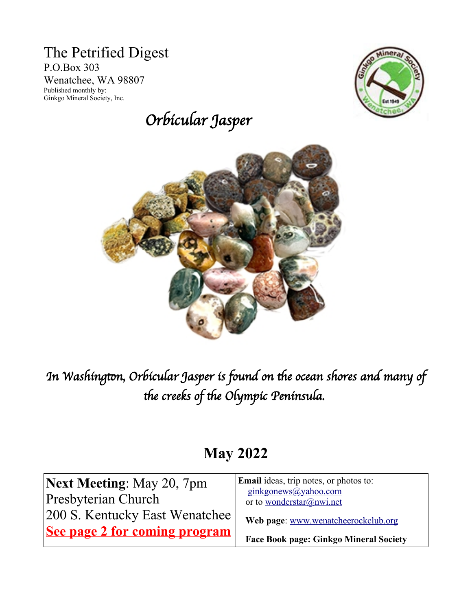#### The Petrified Digest P.O.Box 303 Wenatchee, WA 98807 Published monthly by: Ginkgo Mineral Society, Inc.

# Orbicular Jasper





In Washington, Orbicular Jasper is found on the ocean shores and many of the creeks of the Olympic Peninsula.

# **May 2022**

| <b>Next Meeting: May 20, 7pm</b> | <b>Email</b> ideas, trip notes, or photos to:    |  |
|----------------------------------|--------------------------------------------------|--|
| Presbyterian Church              | ginkgonews@yahoo.com<br>or to wonderstar@nwi.net |  |
| 200 S. Kentucky East Wenatchee   | Web page: www.wenatcheerockclub.org              |  |
| See page 2 for coming program    | <b>Face Book page: Ginkgo Mineral Society</b>    |  |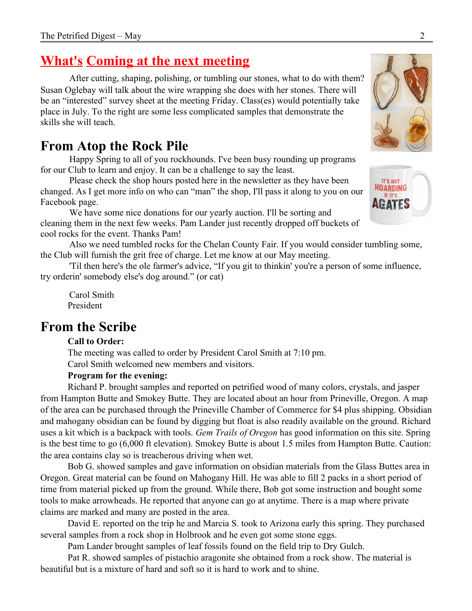### **What's Coming at the next meeting**

After cutting, shaping, polishing, or tumbling our stones, what to do with them? Susan Oglebay will talk about the wire wrapping she does with her stones. There will be an "interested" survey sheet at the meeting Friday. Class(es) would potentially take place in July. To the right are some less complicated samples that demonstrate the skills she will teach.

### **From Atop the Rock Pile**

Happy Spring to all of you rockhounds. I've been busy rounding up programs for our Club to learn and enjoy. It can be a challenge to say the least.

Please check the shop hours posted here in the newsletter as they have been changed. As I get more info on who can "man" the shop, I'll pass it along to you on our Facebook page.

We have some nice donations for our yearly auction. I'll be sorting and cleaning them in the next few weeks. Pam Lander just recently dropped off buckets of cool rocks for the event. Thanks Pam!

Also we need tumbled rocks for the Chelan County Fair. If you would consider tumbling some, the Club will furnish the grit free of charge. Let me know at our May meeting.

'Til then here's the ole farmer's advice, "If you git to thinkin' you're a person of some influence, try orderin' somebody else's dog around." (or cat)

Carol Smith President

### **From the Scribe**

#### **Call to Order:**

The meeting was called to order by President Carol Smith at 7:10 pm. Carol Smith welcomed new members and visitors.

#### **Program for the evening:**

Richard P. brought samples and reported on petrified wood of many colors, crystals, and jasper from Hampton Butte and Smokey Butte. They are located about an hour from Prineville, Oregon. A map of the area can be purchased through the Prineville Chamber of Commerce for \$4 plus shipping. Obsidian and mahogany obsidian can be found by digging but float is also readily available on the ground. Richard uses a kit which is a backpack with tools. *Gem Trails of Oregon* has good information on this site. Spring is the best time to go (6,000 ft elevation). Smokey Butte is about 1.5 miles from Hampton Butte. Caution: the area contains clay so is treacherous driving when wet.

Bob G. showed samples and gave information on obsidian materials from the Glass Buttes area in Oregon. Great material can be found on Mahogany Hill. He was able to fill 2 packs in a short period of time from material picked up from the ground. While there, Bob got some instruction and bought some tools to make arrowheads. He reported that anyone can go at anytime. There is a map where private claims are marked and many are posted in the area.

David E. reported on the trip he and Marcia S. took to Arizona early this spring. They purchased several samples from a rock shop in Holbrook and he even got some stone eggs.

Pam Lander brought samples of leaf fossils found on the field trip to Dry Gulch.

Pat R. showed samples of pistachio aragonite she obtained from a rock show. The material is beautiful but is a mixture of hard and soft so it is hard to work and to shine.



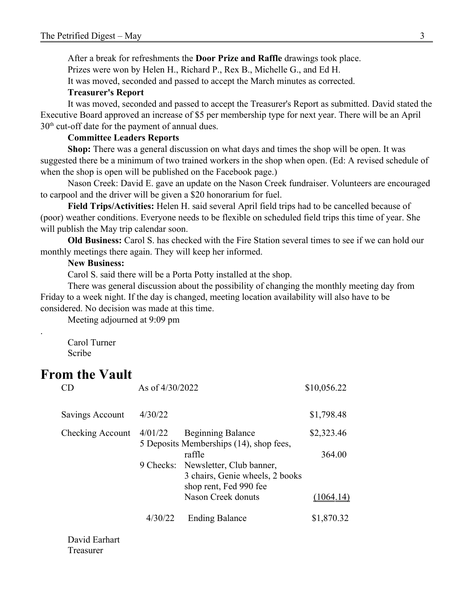After a break for refreshments the **Door Prize and Raffle** drawings took place.

Prizes were won by Helen H., Richard P., Rex B., Michelle G., and Ed H.

It was moved, seconded and passed to accept the March minutes as corrected.

#### **Treasurer's Report**

It was moved, seconded and passed to accept the Treasurer's Report as submitted. David stated the Executive Board approved an increase of \$5 per membership type for next year. There will be an April  $30<sup>th</sup>$  cut-off date for the payment of annual dues.

#### **Committee Leaders Reports**

**Shop:** There was a general discussion on what days and times the shop will be open. It was suggested there be a minimum of two trained workers in the shop when open. (Ed: A revised schedule of when the shop is open will be published on the Facebook page.)

Nason Creek: David E. gave an update on the Nason Creek fundraiser. Volunteers are encouraged to carpool and the driver will be given a \$20 honorarium for fuel.

**Field Trips/Activities:** Helen H. said several April field trips had to be cancelled because of (poor) weather conditions. Everyone needs to be flexible on scheduled field trips this time of year. She will publish the May trip calendar soon.

**Old Business:** Carol S. has checked with the Fire Station several times to see if we can hold our monthly meetings there again. They will keep her informed.

#### **New Business:**

Carol S. said there will be a Porta Potty installed at the shop.

There was general discussion about the possibility of changing the monthly meeting day from Friday to a week night. If the day is changed, meeting location availability will also have to be considered. No decision was made at this time.

Meeting adjourned at 9:09 pm

Carol Turner Scribe

### **From the Vault**

.

| CΠ               | As of 4/30/2022 |                                                                                                           | \$10,056.22 |
|------------------|-----------------|-----------------------------------------------------------------------------------------------------------|-------------|
| Savings Account  | 4/30/22         |                                                                                                           | \$1,798.48  |
| Checking Account | 4/01/22         | <b>Beginning Balance</b><br>5 Deposits Memberships (14), shop fees,                                       | \$2,323.46  |
|                  |                 | raffle<br>9 Checks: Newsletter, Club banner,<br>3 chairs, Genie wheels, 2 books<br>shop rent, Fed 990 fee | 364.00      |
|                  |                 | Nason Creek donuts                                                                                        |             |
|                  | 4/30/22         | <b>Ending Balance</b>                                                                                     | \$1,870.32  |

David Earhart Treasurer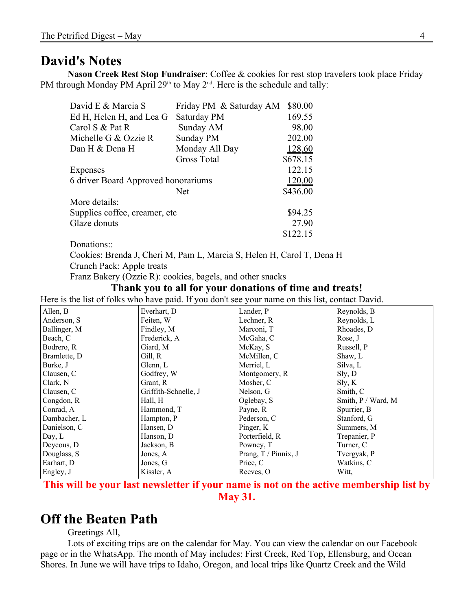#### **David's Notes**

**Nason Creek Rest Stop Fundraiser**: Coffee & cookies for rest stop travelers took place Friday PM through Monday PM April  $29<sup>th</sup>$  to May  $2<sup>nd</sup>$ . Here is the schedule and tally:

| David E & Marcia S                  | Friday PM & Saturday AM | \$80.00       |
|-------------------------------------|-------------------------|---------------|
| Ed H, Helen H, and Lea G            | Saturday PM             | 169.55        |
| Carol S & Pat R                     | Sunday AM               | 98.00         |
| Michelle G & Ozzie R                | Sunday PM               | 202.00        |
| Dan H & Dena H                      | Monday All Day          | <u>128.60</u> |
|                                     | <b>Gross Total</b>      | \$678.15      |
| Expenses                            |                         | 122.15        |
| 6 driver Board Approved honorariums |                         | <u>120.00</u> |
|                                     | <b>Net</b>              | \$436.00      |
| More details:                       |                         |               |
| Supplies coffee, creamer, etc.      |                         | \$94.25       |
| Glaze donuts                        |                         | <u>27.90</u>  |
|                                     |                         | \$122.15      |

Donations<sup>..</sup>

Cookies: Brenda J, Cheri M, Pam L, Marcia S, Helen H, Carol T, Dena H Crunch Pack: Apple treats

Franz Bakery (Ozzie R): cookies, bagels, and other snacks

#### **Thank you to all for your donations of time and treats!**

Here is the list of folks who have paid. If you don't see your name on this list, contact David.

| Allen, B     | Everhart, D          | Lander, P            | Reynolds, B           |
|--------------|----------------------|----------------------|-----------------------|
| Anderson, S  | Feiten, W            | Lechner, R           | Reynolds, L           |
| Ballinger, M | Findley, M           | Marconi, T           | Rhoades, D            |
| Beach, C     | Frederick, A         | McGaha, C            | Rose, J               |
| Bodrero, R   | Giard, M             | McKay, S             | Russell, P            |
| Bramlette, D | Gill, R              | McMillen, C          | Shaw, L               |
| Burke, J     | Glenn, L             | Merriel, L           | Silva, L              |
| Clausen, C   | Godfrey, W           | Montgomery, R        | Sly, D                |
| Clark, N     | Grant, R             | Mosher, C            | Sly, K                |
| Clausen, C   | Griffith-Schnelle, J | Nelson, G            | Smith, C              |
| Congdon, R   | Hall, H              | Oglebay, S           | Smith, $P / Ward$ , M |
| Conrad, A    | Hammond, T           | Payne, R             | Spurrier, B           |
| Dambacher, L | Hampton, P           | Pederson, C          | Stanford, G           |
| Danielson, C | Hansen, D            | Pinger, K            | Summers, M            |
| Day, $L$     | Hanson, D            | Porterfield, R       | Trepanier, P          |
| Deycous, D.  | Jackson, B           | Powney, T            | Turner, C             |
| Douglass, S  | Jones, A             | Prang, T / Pinnix, J | Tvergyak, P           |
| Earhart, D   | Jones, G             | Price, C             | Watkins, C            |
| Engley, J    | Kissler, A           | Reeves, O            | Witt,                 |
|              |                      |                      |                       |

**This will be your last newsletter if your name is not on the active membership list by May 31.**

### **Off the Beaten Path**

Greetings All,

Lots of exciting trips are on the calendar for May. You can view the calendar on our Facebook page or in the WhatsApp. The month of May includes: First Creek, Red Top, Ellensburg, and Ocean Shores. In June we will have trips to Idaho, Oregon, and local trips like Quartz Creek and the Wild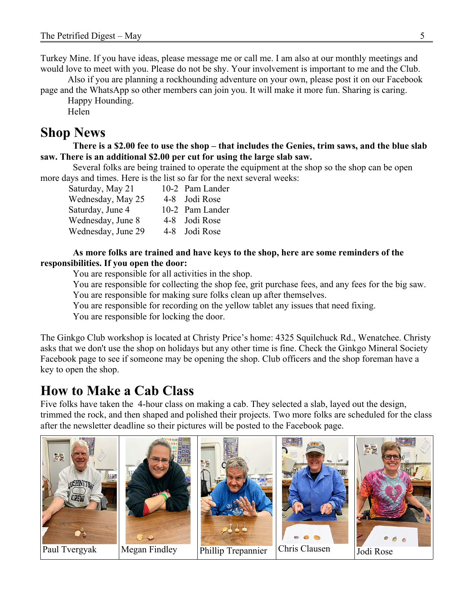Turkey Mine. If you have ideas, please message me or call me. I am also at our monthly meetings and would love to meet with you. Please do not be shy. Your involvement is important to me and the Club.

Also if you are planning a rockhounding adventure on your own, please post it on our Facebook page and the WhatsApp so other members can join you. It will make it more fun. Sharing is caring.

Happy Hounding.

Helen

### **Shop News**

**There is a \$2.00 fee to use the shop – that includes the Genies, trim saws, and the blue slab saw. There is an additional \$2.00 per cut for using the large slab saw.**

Several folks are being trained to operate the equipment at the shop so the shop can be open more days and times. Here is the list so far for the next several weeks:

| Saturday, May 21   | 10-2 Pam Lander |
|--------------------|-----------------|
| Wednesday, May 25  | 4-8 Jodi Rose   |
| Saturday, June 4   | 10-2 Pam Lander |
| Wednesday, June 8  | 4-8 Jodi Rose   |
| Wednesday, June 29 | 4-8 Jodi Rose   |

#### **As more folks are trained and have keys to the shop, here are some reminders of the responsibilities. If you open the door:**

You are responsible for all activities in the shop.

You are responsible for collecting the shop fee, grit purchase fees, and any fees for the big saw. You are responsible for making sure folks clean up after themselves.

You are responsible for recording on the yellow tablet any issues that need fixing.

You are responsible for locking the door.

The Ginkgo Club workshop is located at Christy Price's home: 4325 Squilchuck Rd., Wenatchee. Christy asks that we don't use the shop on holidays but any other time is fine. Check the Ginkgo Mineral Society Facebook page to see if someone may be opening the shop. Club officers and the shop foreman have a key to open the shop.

### **How to Make a Cab Class**

Five folks have taken the 4-hour class on making a cab. They selected a slab, layed out the design, trimmed the rock, and then shaped and polished their projects. Two more folks are scheduled for the class after the newsletter deadline so their pictures will be posted to the Facebook page.